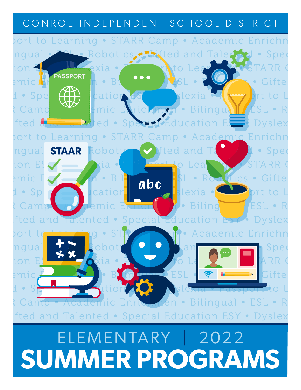# CONROE INDEPENDENT SCHOOL DISTRICT



# **SUMMER PROGRAMS**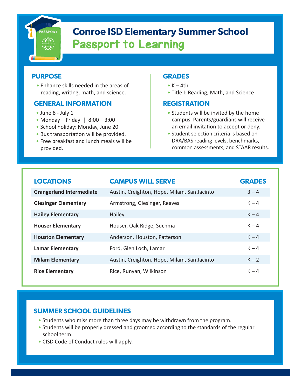

# **Conroe ISD Elementary Summer School** Passport to Learning

# **PURPOSE**

• Enhance skills needed in the areas of reading, writing, math, and science.

# **GENERAL INFORMATION**

- June 8 July 1
- Monday Friday  $| 8:00 3:00$
- School holiday: Monday, June 20
- Bus transportation will be provided.
- Free breakfast and lunch meals will be provided.

# **GRADES**

- $\bullet$  K 4th
- Title I: Reading, Math, and Science

# **REGISTRATION**

- Students will be invited by the home campus. Parents/guardians will receive an email invitation to accept or deny.
- Student selection criteria is based on DRA/BAS reading levels, benchmarks, common assessments, and STAAR results.

| <b>LOCATIONS</b>                | <b>CAMPUS WILL SERVE</b>                    | <b>GRADES</b> |
|---------------------------------|---------------------------------------------|---------------|
| <b>Grangerland Intermediate</b> | Austin, Creighton, Hope, Milam, San Jacinto | $3 - 4$       |
| <b>Giesinger Elementary</b>     | Armstrong, Giesinger, Reaves                | $K - 4$       |
| <b>Hailey Elementary</b>        | Hailey                                      | $K - 4$       |
| <b>Houser Elementary</b>        | Houser, Oak Ridge, Suchma                   | $K - 4$       |
| <b>Houston Elementary</b>       | Anderson, Houston, Patterson                | $K - 4$       |
| <b>Lamar Elementary</b>         | Ford, Glen Loch, Lamar                      | $K - 4$       |
| <b>Milam Elementary</b>         | Austin, Creighton, Hope, Milam, San Jacinto | $K - 2$       |
| <b>Rice Elementary</b>          | Rice, Runyan, Wilkinson                     | $K - 4$       |

- Students who miss more than three days may be withdrawn from the program.
- Students will be properly dressed and groomed according to the standards of the regular school term.
- CISD Code of Conduct rules will apply.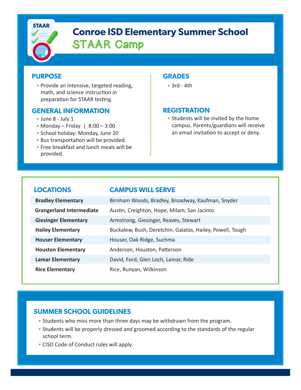

# **Conroe ISD Elementary Summer School** STAAR Camp

# **PURPOSE**

• Provide an intensive, targeted reading, math, and science instruction in preparation for STAAR testing.

# **GENERAL INFORMATION**

- June 8 July 1
- Monday Friday  $| 8:00 3:00$
- School holiday: Monday, June 20
- Bus transportation will be provided.
- Free breakfast and lunch meals will be provided.

# **GRADES**

• 3rd - 4th

# **REGISTRATION**

• Students will be invited by the home campus. Parents/guardians will receive an email invitation to accept or deny.

# **LOCATIONS CAMPUS WILL SERVE**

| <b>Bradley Elementary</b>       | Birnham Woods, Bradley, Broadway, Kaufman, Snyder         |  |
|---------------------------------|-----------------------------------------------------------|--|
| <b>Grangerland Intermediate</b> | Austin, Creighton, Hope, Milam, San Jacinto               |  |
| <b>Giesinger Elementary</b>     | Armstrong, Giesinger, Reaves, Stewart                     |  |
| <b>Hailey Elementary</b>        | Buckalew, Bush, Deretchin, Galatas, Hailey, Powell, Tough |  |
| <b>Houser Elementary</b>        | Houser, Oak Ridge, Suchma                                 |  |
| <b>Houston Elementary</b>       | Anderson, Houston, Patterson                              |  |
| <b>Lamar Elementary</b>         | David, Ford, Glen Loch, Lamar, Ride                       |  |
| <b>Rice Elementary</b>          | Rice, Runyan, Wilkinson                                   |  |

- Students who miss more than three days may be withdrawn from the program.
- Students will be properly dressed and groomed according to the standards of the regular school term.
- CISD Code of Conduct rules will apply.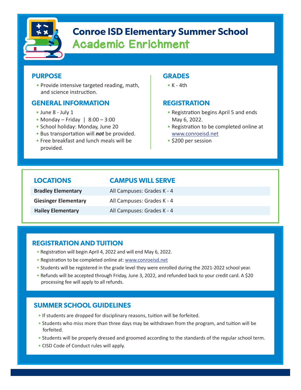

# **Conroe ISD Elementary Summer School** Academic Enrichment

# **PURPOSE**

• Provide intensive targeted reading, math, and science instruction.

# **GENERAL INFORMATION**

- June 8 July 1
- Monday Friday  $| 8:00 3:00$
- School holiday: Monday, June 20
- Bus transportation will *not* be provided.
- Free breakfast and lunch meals will be provided.

# **GRADES**

 $\bullet$  K - 4th

# **REGISTRATION**

- Registration begins April 5 and ends May 6, 2022.
- Registration to be completed online at [www.conroeisd.net](https://www.conroeisd.net/department/tl/summer-school/)
- \$200 per session

# **LOCATIONS CAMPUS WILL SERVE**

| <b>Bradley Elementary</b>   | All Campuses: Grades K - 4 |
|-----------------------------|----------------------------|
| <b>Giesinger Elementary</b> | All Campuses: Grades K - 4 |
| <b>Hailey Elementary</b>    | All Campuses: Grades K - 4 |

# **REGISTRATION AND TUITION**

- Registration will begin April 4, 2022 and will end May 6, 2022.
- Registration to be completed online at: [www.conroeisd.net](https://www.conroeisd.net/department/tl/summer-school/)
- Students will be registered in the grade level they were enrolled during the 2021-2022 school year.
- Refunds will be accepted through Friday, June 3, 2022, and refunded back to your credit card. A \$20 processing fee will apply to all refunds.

- If students are dropped for disciplinary reasons, tuition will be forfeited.
- Students who miss more than three days may be withdrawn from the program, and tuition will be forfeited.
- Students will be properly dressed and groomed according to the standards of the regular school term.
- CISD Code of Conduct rules will apply.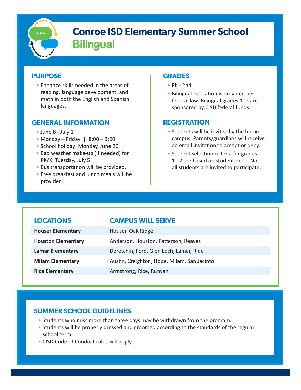

# **Conroe ISD Elementary Summer School Bilingual**

# **PURPOSE**

• Enhance skills needed in the areas of reading, language development, and math in both the English and Spanish languages.

# **GENERAL INFORMATION**

- June 8 July 1
- Monday Friday | 8:00 3:00
- School holiday: Monday, June 20
- Bad weather make-up (if needed) for PK/K: Tuesday, July 5
- Bus transportation will be provided.
- Free breakfast and lunch meals will be provided.

# **GRADES**

- PK 2nd
- Bilingual education is provided per federal law. Bilingual grades 1- 2 are sponsored by CISD federal funds.

# **REGISTRATION**

- Students will be invited by the home campus. Parents/guardians will receive an email invitation to accept or deny.
- Student selection criteria for grades 1 - 2 are based on student need. Not all students are invited to participate.

# **LOCATIONS CAMPUS WILL SERVE**

| <b>Houser Elementary</b>  | Houser, Oak Ridge                           |
|---------------------------|---------------------------------------------|
| <b>Houston Elementary</b> | Anderson, Houston, Patterson, Reaves        |
| <b>Lamar Elementary</b>   | Deretchin, Ford, Glen Loch, Lamar, Ride     |
| <b>Milam Elementary</b>   | Austin, Creighton, Hope, Milam, San Jacinto |
| <b>Rice Elementary</b>    | Armstrong, Rice, Runyan                     |

- Students who miss more than three days may be withdrawn from the program.
- Students will be properly dressed and groomed according to the standards of the regular school term.
- CISD Code of Conduct rules will apply.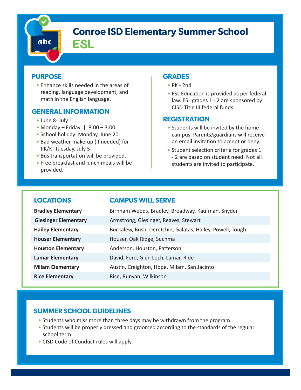# abc

# **Conroe ISD Elementary Summer School**

ESL

# **PURPOSE**

• Enhance skills needed in the areas of reading, language development, and math in the English language.

# CISD Title III federal funds. **GENERAL INFORMATION**

- June 8- July 1
- Monday Friday  $| 8:00 3:00$
- School holiday: Monday, June 20
- Bad weather make-up (if needed) for PK/K: Tuesday, July 5
- Bus transportation will be provided.
- Free breakfast and lunch meals will be provided.

# **GRADES**

- PK 2nd
- ESL Education is provided as per federal law. ESL grades 1 - 2 are sponsored by

# **REGISTRATION**

- Students will be invited by the home campus. Parents/guardians will receive an email invitation to accept or deny.
- Student selection criteria for grades 1 - 2 are based on student need. Not all students are invited to participate.

# **LOCATIONS CAMPUS WILL SERVE Bradley Elementary Birnham Woods, Bradley, Broadway, Kaufman, Snyder Giesinger Elementary Armstrong, Giesinger, Reaves, Stewart Hailey Elementary** Buckalew, Bush, Deretchin, Galatas, Hailey, Powell, Tough **Houser Elementary** Houser, Oak Ridge, Suchma **Houston Elementary Anderson, Houston, Patterson**

- **Lamar Elementary** David, Ford, Glen Loch, Lamar, Ride **Milam Elementary Austin, Creighton, Hope, Milam, San Jacinto**
- **Rice Elementary Rice, Runyan, Wilkinson**

- Students who miss more than three days may be withdrawn from the program.
- Students will be properly dressed and groomed according to the standards of the regular school term.
- CISD Code of Conduct rules will apply.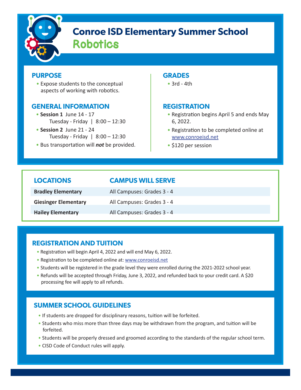

# **Conroe ISD Elementary Summer School** Robotics

# **PURPOSE**

• Expose students to the conceptual aspects of working with robotics.

# **GENERAL INFORMATION**

- **Session 1** June 14 17 Tuesday - Friday | 8:00 – 12:30
- **Session 2** June 21 24 Tuesday - Friday | 8:00 – 12:30
- Bus transportation will *not* be provided.

# **GRADES**

• 3rd - 4th

# **REGISTRATION**

- Registration begins April 5 and ends May 6, 2022.
- Registration to be completed online at [www.conroeisd.net](https://www.conroeisd.net/department/tl/summer-school/)
- \$120 per session

| <b>LOCATIONS</b>            | <b>CAMPUS WILL SERVE</b>   |
|-----------------------------|----------------------------|
| <b>Bradley Elementary</b>   | All Campuses: Grades 3 - 4 |
| <b>Giesinger Elementary</b> | All Campuses: Grades 3 - 4 |
| <b>Hailey Elementary</b>    | All Campuses: Grades 3 - 4 |

# **REGISTRATION AND TUITION**

- Registration will begin April 4, 2022 and will end May 6, 2022.
- Registration to be completed online at: [www.conroeisd.net](https://www.conroeisd.net/department/tl/summer-school/)
- Students will be registered in the grade level they were enrolled during the 2021-2022 school year.
- Refunds will be accepted through Friday, June 3, 2022, and refunded back to your credit card. A \$20 processing fee will apply to all refunds.

- If students are dropped for disciplinary reasons, tuition will be forfeited.
- Students who miss more than three days may be withdrawn from the program, and tuition will be forfeited.
- Students will be properly dressed and groomed according to the standards of the regular school term.
- CISD Code of Conduct rules will apply.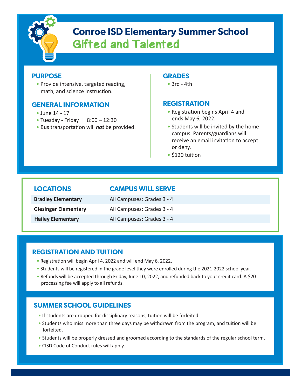

# **Conroe ISD Elementary Summer School** Gifted and Talented

# **PURPOSE**

• Provide intensive, targeted reading, math, and science instruction.

# **GENERAL INFORMATION**

- June 14 17
- Tuesday Friday | 8:00 12:30
- Bus transportation will *not* be provided.

### **GRADES**

• 3rd - 4th

# **REGISTRATION**

- Registration begins April 4 and ends May 6, 2022.
- Students will be invited by the home campus. Parents/guardians will receive an email invitation to accept or deny.
- \$120 tuition

# **LOCATIONS CAMPUS WILL SERVE**

| <b>Bradley Elementary</b>   | All Campuses: Grades 3 - 4 |
|-----------------------------|----------------------------|
| <b>Giesinger Elementary</b> | All Campuses: Grades 3 - 4 |
| <b>Hailey Elementary</b>    | All Campuses: Grades 3 - 4 |

# **REGISTRATION AND TUITION**

- Registration will begin April 4, 2022 and will end May 6, 2022.
- Students will be registered in the grade level they were enrolled during the 2021-2022 school year.
- Refunds will be accepted through Friday, June 10, 2022, and refunded back to your credit card. A \$20 processing fee will apply to all refunds.

- If students are dropped for disciplinary reasons, tuition will be forfeited.
- Students who miss more than three days may be withdrawn from the program, and tuition will be forfeited.
- Students will be properly dressed and groomed according to the standards of the regular school term.
- CISD Code of Conduct rules will apply.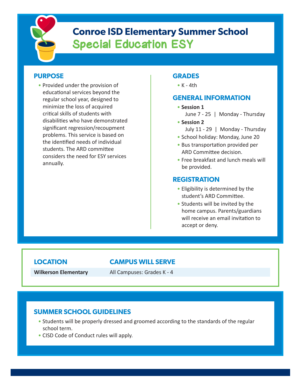

# **Conroe ISD Elementary Summer School** Special Education ESY

# **PURPOSE**

• Provided under the provision of educational services beyond the regular school year, designed to minimize the loss of acquired critical skills of students with disabilities who have demonstrated significant regression/recoupment problems. This service is based on the identified needs of individual students. The ARD committee considers the need for ESY services annually.

# **GRADES**

 $\bullet$  K - 4th

# **GENERAL INFORMATION**

- **Session 1**
	- June 7 25 | Monday Thursday
- **Session 2**
	- July 11 29 | Monday Thursday
- School holiday: Monday, June 20
- Bus transportation provided per ARD Committee decision.
- Free breakfast and lunch meals will be provided.

# **REGISTRATION**

- Eligibility is determined by the student's ARD Committee.
- Students will be invited by the home campus. Parents/guardians will receive an email invitation to accept or deny.

# **LOCATION CAMPUS WILL SERVE**

**Wilkerson Elementary** All Campuses: Grades K - 4

- Students will be properly dressed and groomed according to the standards of the regular school term.
- CISD Code of Conduct rules will apply.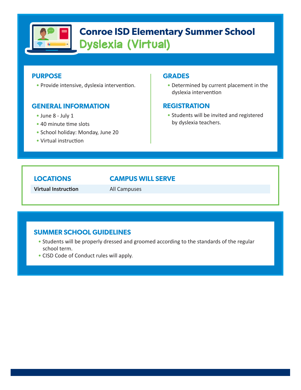

# **Conroe ISD Elementary Summer School** Dyslexia (Virtual)

# **PURPOSE**

• Provide intensive, dyslexia intervention.

# **GENERAL INFORMATION**

- June 8 July 1
- 40 minute time slots
- School holiday: Monday, June 20
- Virtual instruction

### **GRADES**

• Determined by current placement in the dyslexia intervention

# **REGISTRATION**

• Students will be invited and registered by dyslexia teachers.

# **LOCATIONS CAMPUS WILL SERVE**

**Virtual Instruction** All Campuses

- Students will be properly dressed and groomed according to the standards of the regular school term.
- CISD Code of Conduct rules will apply.